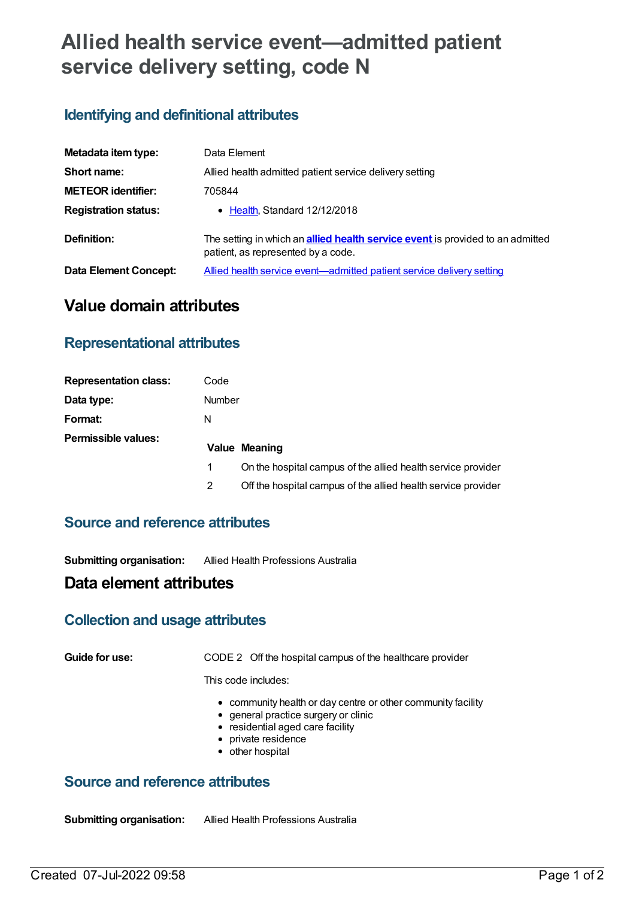# **Allied health service event—admitted patient service delivery setting, code N**

# **Identifying and definitional attributes**

| Metadata item type:         | Data Element                                                                                                                |  |  |
|-----------------------------|-----------------------------------------------------------------------------------------------------------------------------|--|--|
| Short name:                 | Allied health admitted patient service delivery setting                                                                     |  |  |
| <b>METEOR identifier:</b>   | 705844                                                                                                                      |  |  |
| <b>Registration status:</b> | • Health, Standard 12/12/2018                                                                                               |  |  |
| Definition:                 | The setting in which an <b>allied health service event</b> is provided to an admitted<br>patient, as represented by a code. |  |  |
| Data Element Concept:       | Allied health service event—admitted patient service delivery setting                                                       |  |  |

# **Value domain attributes**

#### **Representational attributes**

| <b>Representation class:</b> | Code |                                                               |  |
|------------------------------|------|---------------------------------------------------------------|--|
| Data type:                   |      | Number                                                        |  |
| Format:                      | N    |                                                               |  |
| <b>Permissible values:</b>   |      | <b>Value Meaning</b>                                          |  |
|                              |      | On the hospital campus of the allied health service provider  |  |
|                              |      | Off the hospital campus of the allied health service provider |  |

#### **Source and reference attributes**

**Submitting organisation:** Allied Health Professions Australia

## **Data element attributes**

#### **Collection and usage attributes**

**Guide for use:** CODE 2 Off the hospital campus of the healthcare provider

This code includes:

- community health or day centre or other community facility
- general practice surgery or clinic
- residential aged care facility
- private residence
- other hospital

## **Source and reference attributes**

**Submitting organisation:** Allied Health Professions Australia